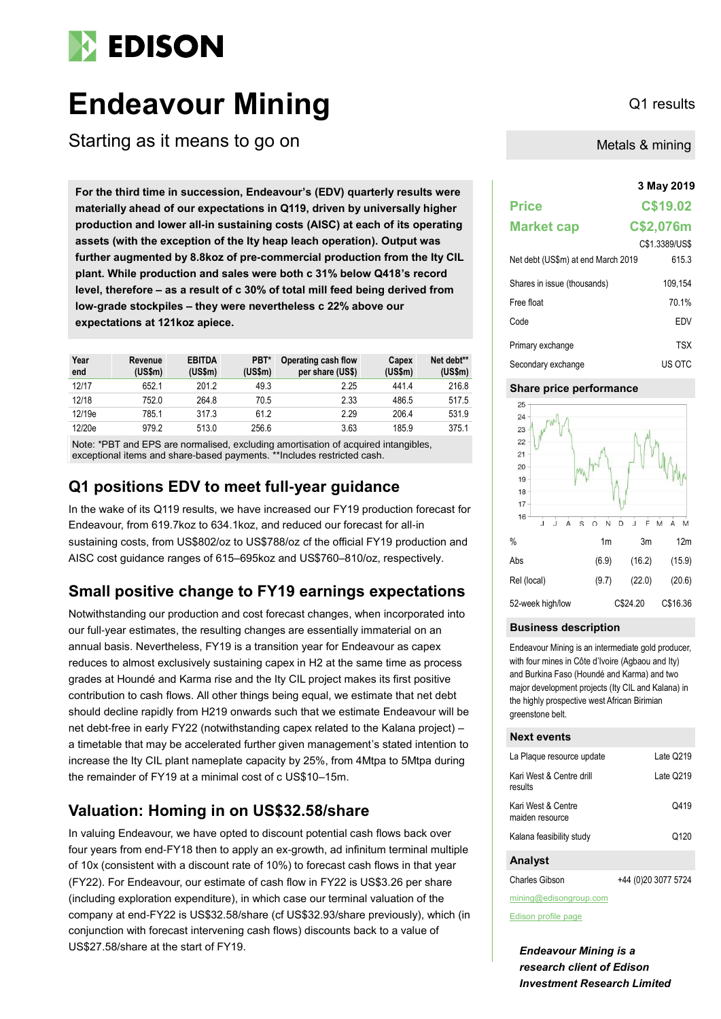

# **Endeavour Mining** Q1 results

Starting as it means to go on

**3 May 2019 For the third time in succession, Endeavour's (EDV) quarterly results were materially ahead of our expectations in Q119, driven by universally higher production and lower all-in sustaining costs (AISC) at each of its operating assets (with the exception of the Ity heap leach operation). Output was further augmented by 8.8koz of pre-commercial production from the Ity CIL plant. While production and sales were both c 31% below Q418's record level, therefore – as a result of c 30% of total mill feed being derived from low-grade stockpiles – they were nevertheless c 22% above our expectations at 121koz apiece.**

| Year<br>end | Revenue<br>(US\$m) | <b>EBITDA</b><br>(US\$m) | PBT*<br>(USSm) | Operating cash flow<br>per share (US\$) | Capex<br>(US\$m) | Net debt**<br>(US\$m) |
|-------------|--------------------|--------------------------|----------------|-----------------------------------------|------------------|-----------------------|
| 12/17       | 652.1              | 201.2                    | 49.3           | 2.25                                    | 441.4            | 216.8                 |
| 12/18       | 752.0              | 264.8                    | 70.5           | 2.33                                    | 486.5            | 517.5                 |
| 12/19e      | 785.1              | 317.3                    | 61.2           | 2.29                                    | 206.4            | 531.9                 |
| 12/20e      | 979.2              | 513.0                    | 256.6          | 3.63                                    | 185.9            | 375.1                 |

Note: \*PBT and EPS are normalised, excluding amortisation of acquired intangibles, exceptional items and share-based payments. \*\*Includes restricted cash.

### **Q1 positions EDV to meet full-year guidance**

In the wake of its Q119 results, we have increased our FY19 production forecast for Endeavour, from 619.7koz to 634.1koz, and reduced our forecast for all-in sustaining costs, from US\$802/oz to US\$788/oz cf the official FY19 production and AISC cost guidance ranges of 615–695koz and US\$760–810/oz, respectively.

### **Small positive change to FY19 earnings expectations**

Notwithstanding our production and cost forecast changes, when incorporated into our full-year estimates, the resulting changes are essentially immaterial on an annual basis. Nevertheless, FY19 is a transition year for Endeavour as capex reduces to almost exclusively sustaining capex in H2 at the same time as process grades at Houndé and Karma rise and the Ity CIL project makes its first positive contribution to cash flows. All other things being equal, we estimate that net debt should decline rapidly from H219 onwards such that we estimate Endeavour will be net debt-free in early FY22 (notwithstanding capex related to the Kalana project) – a timetable that may be accelerated further given management's stated intention to increase the Ity CIL plant nameplate capacity by 25%, from 4Mtpa to 5Mtpa during the remainder of FY19 at a minimal cost of c US\$10–15m.

### **Valuation: Homing in on US\$32.58/share**

In valuing Endeavour, we have opted to discount potential cash flows back over four years from end-FY18 then to apply an ex-growth, ad infinitum terminal multiple of 10x (consistent with a discount rate of 10%) to forecast cash flows in that year (FY22). For Endeavour, our estimate of cash flow in FY22 is US\$3.26 per share (including exploration expenditure), in which case our terminal valuation of the company at end-FY22 is US\$32.58/share (cf US\$32.93/share previously), which (in conjunction with forecast intervening cash flows) discounts back to a value of US\$27.58/share at the start of FY19.

Metals & mining

### **Price C\$19.02 Market cap C\$2,076m** C\$1.3389/US\$ Net debt (US\$m) at end March 2019 615.3 Shares in issue (thousands) 109,154 Free float 70.1% Code EDV Primary exchange TSX Secondary exchange US OTC

### **Share price performance**



#### **Business description**

Endeavour Mining is an intermediate gold producer, with four mines in Côte d'Ivoire (Agbaou and Ity) and Burkina Faso (Houndé and Karma) and two major development projects (Ity CIL and Kalana) in the highly prospective west African Birimian greenstone belt.

### **Next events**

| La Plaque resource update             | Late Q219 |
|---------------------------------------|-----------|
| Kari West & Centre drill<br>results   | Late Q219 |
| Kari West & Centre<br>maiden resource | Q419      |
| Kalana feasibility study              | Q120      |
| <b>Analyst</b>                        |           |

Charles Gibson +44 (0)20 3077 5724

mining@edisongroup.com

[Edison profile page](https://www.edisongroup.com/company/endeavour-mining)

*Endeavour Mining is a research client of Edison Investment Research Limited*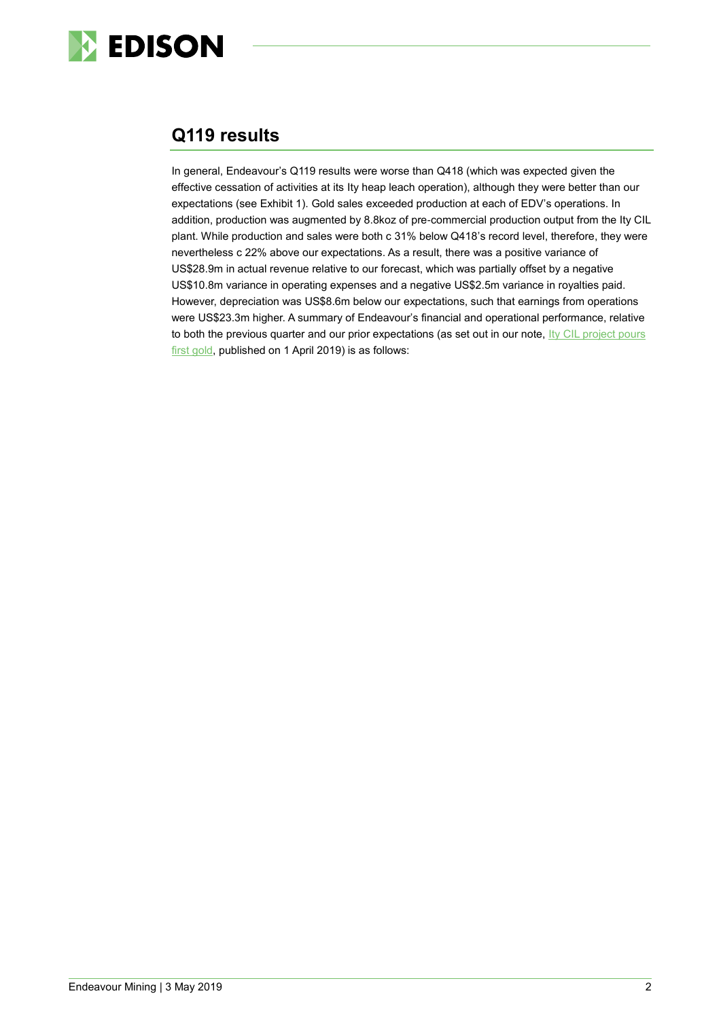

## **Q119 results**

In general, Endeavour's Q119 results were worse than Q418 (which was expected given the effective cessation of activities at its Ity heap leach operation), although they were better than our expectations (see Exhibit 1). Gold sales exceeded production at each of EDV's operations. In addition, production was augmented by 8.8koz of pre-commercial production output from the Ity CIL plant. While production and sales were both c 31% below Q418's record level, therefore, they were nevertheless c 22% above our expectations. As a result, there was a positive variance of US\$28.9m in actual revenue relative to our forecast, which was partially offset by a negative US\$10.8m variance in operating expenses and a negative US\$2.5m variance in royalties paid. However, depreciation was US\$8.6m below our expectations, such that earnings from operations were US\$23.3m higher. A summary of Endeavour's financial and operational performance, relative to both the previous quarter and our prior expectations (as set out in our note, Ity CIL project pours [first gold,](https://www.edisongroup.com/publication/ity-cil-project-pours-first-gold/23818/) published on 1 April 2019) is as follows: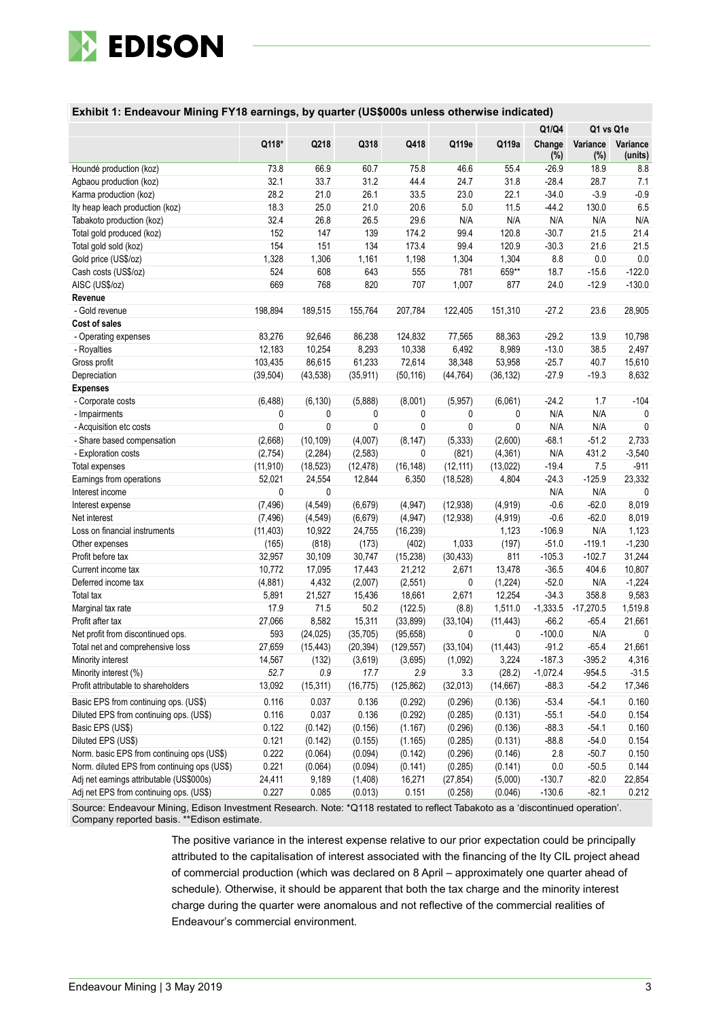

|  |  |  | Exhibit 1: Endeavour Mining FY18 earnings, by quarter (US\$000s unless otherwise indicated) |
|--|--|--|---------------------------------------------------------------------------------------------|
|--|--|--|---------------------------------------------------------------------------------------------|

|                                              |           |           |             |            |           |             | Q1/Q4         | Q1 vs Q1e       |                     |
|----------------------------------------------|-----------|-----------|-------------|------------|-----------|-------------|---------------|-----------------|---------------------|
|                                              | Q118*     | Q218      | Q318        | Q418       | Q119e     | Q119a       | Change<br>(%) | Variance<br>(%) | Variance<br>(units) |
| Houndé production (koz)                      | 73.8      | 66.9      | 60.7        | 75.8       | 46.6      | 55.4        | $-26.9$       | 18.9            | 8.8                 |
| Agbaou production (koz)                      | 32.1      | 33.7      | 31.2        | 44.4       | 24.7      | 31.8        | $-28.4$       | 28.7            | 7.1                 |
| Karma production (koz)                       | 28.2      | 21.0      | 26.1        | 33.5       | 23.0      | 22.1        | $-34.0$       | $-3.9$          | $-0.9$              |
| Ity heap leach production (koz)              | 18.3      | 25.0      | 21.0        | 20.6       | 5.0       | 11.5        | $-44.2$       | 130.0           | 6.5                 |
| Tabakoto production (koz)                    | 32.4      | 26.8      | 26.5        | 29.6       | N/A       | N/A         | N/A           | N/A             | N/A                 |
| Total gold produced (koz)                    | 152       | 147       | 139         | 174.2      | 99.4      | 120.8       | $-30.7$       | 21.5            | 21.4                |
| Total gold sold (koz)                        | 154       | 151       | 134         | 173.4      | 99.4      | 120.9       | $-30.3$       | 21.6            | 21.5                |
| Gold price (US\$/oz)                         | 1,328     | 1,306     | 1,161       | 1,198      | 1,304     | 1,304       | 8.8           | 0.0             | 0.0                 |
| Cash costs (US\$/oz)                         | 524       | 608       | 643         | 555        | 781       | 659**       | 18.7          | $-15.6$         | $-122.0$            |
| AISC (US\$/oz)                               | 669       | 768       | 820         | 707        | 1,007     | 877         | 24.0          | $-12.9$         | $-130.0$            |
| Revenue                                      |           |           |             |            |           |             |               |                 |                     |
| - Gold revenue                               | 198,894   | 189,515   | 155,764     | 207,784    | 122,405   | 151,310     | $-27.2$       | 23.6            | 28,905              |
| Cost of sales                                |           |           |             |            |           |             |               |                 |                     |
| - Operating expenses                         | 83,276    | 92,646    | 86,238      | 124,832    | 77,565    | 88,363      | $-29.2$       | 13.9            | 10,798              |
| - Royalties                                  | 12,183    | 10,254    | 8,293       | 10,338     | 6,492     | 8,989       | $-13.0$       | 38.5            | 2,497               |
| Gross profit                                 | 103,435   | 86,615    | 61,233      | 72,614     | 38,348    | 53,958      | $-25.7$       | 40.7            | 15,610              |
| Depreciation                                 | (39, 504) | (43, 538) | (35, 911)   | (50, 116)  | (44, 764) | (36, 132)   | $-27.9$       | $-19.3$         | 8,632               |
| <b>Expenses</b>                              |           |           |             |            |           |             |               |                 |                     |
| - Corporate costs                            | (6, 488)  | (6, 130)  | (5,888)     | (8,001)    | (5, 957)  | (6,061)     | $-24.2$       | 1.7             | $-104$              |
| - Impairments                                | 0         | 0         | 0           | 0          | 0         | 0           | N/A           | N/A             | 0                   |
| - Acquisition etc costs                      | 0         | 0         | $\mathbf 0$ | 0          | 0         | $\mathbf 0$ | N/A           | N/A             | $\mathbf{0}$        |
| - Share based compensation                   | (2,668)   | (10, 109) | (4,007)     | (8, 147)   | (5, 333)  | (2,600)     | $-68.1$       | $-51.2$         | 2,733               |
| - Exploration costs                          | (2,754)   | (2, 284)  | (2, 583)    | 0          | (821)     | (4, 361)    | N/A           | 431.2           | $-3,540$            |
| Total expenses                               | (11, 910) | (18, 523) | (12, 478)   | (16, 148)  | (12, 111) | (13,022)    | $-19.4$       | 7.5             | $-911$              |
| Earnings from operations                     | 52,021    | 24,554    | 12,844      | 6,350      | (18, 528) | 4,804       | $-24.3$       | $-125.9$        | 23,332              |
| Interest income                              | 0         | 0         |             |            |           |             | N/A           | N/A             | $\mathbf{0}$        |
| Interest expense                             | (7, 496)  | (4, 549)  | (6, 679)    | (4, 947)   | (12,938)  | (4, 919)    | $-0.6$        | $-62.0$         | 8,019               |
| Net interest                                 | (7, 496)  | (4, 549)  | (6, 679)    | (4, 947)   | (12, 938) | (4,919)     | $-0.6$        | $-62.0$         | 8,019               |
| Loss on financial instruments                | (11, 403) | 10,922    | 24,755      | (16, 239)  |           | 1,123       | $-106.9$      | N/A             | 1,123               |
| Other expenses                               | (165)     | (818)     | (173)       | (402)      | 1,033     | (197)       | $-51.0$       | $-119.1$        | $-1,230$            |
| Profit before tax                            | 32,957    | 30,109    | 30,747      | (15, 238)  | (30, 433) | 811         | $-105.3$      | $-102.7$        | 31,244              |
| Current income tax                           | 10,772    | 17,095    | 17,443      | 21,212     | 2,671     | 13,478      | $-36.5$       | 404.6           | 10,807              |
| Deferred income tax                          | (4,881)   | 4,432     | (2,007)     | (2, 551)   | 0         | (1, 224)    | $-52.0$       | N/A             | $-1,224$            |
| Total tax                                    | 5,891     | 21,527    | 15,436      | 18,661     | 2,671     | 12,254      | $-34.3$       | 358.8           | 9,583               |
| Marginal tax rate                            | 17.9      | 71.5      | 50.2        | (122.5)    | (8.8)     | 1,511.0     | $-1,333.5$    | $-17,270.5$     | 1,519.8             |
| Profit after tax                             | 27,066    | 8,582     | 15,311      | (33, 899)  | (33, 104) | (11, 443)   | $-66.2$       | $-65.4$         | 21,661              |
| Net profit from discontinued ops.            | 593       | (24, 025) | (35, 705)   | (95, 658)  | 0         | 0           | $-100.0$      | N/A             | 0                   |
| Total net and comprehensive loss             | 27,659    | (15, 443) | (20, 394)   | (129.557)  | (33, 104) | (11, 443)   | $-91.2$       | $-65.4$         | 21,661              |
| Minority interest                            | 14,567    | (132)     | (3,619)     | (3,695)    | (1,092)   | 3,224       | $-187.3$      | $-395.2$        | 4,316               |
| Minority interest (%)                        | 52.7      | $0.9\,$   | 17.7        | 2.9        | 3.3       | (28.2)      | $-1,072.4$    | $-954.5$        | $-31.5$             |
| Profit attributable to shareholders          | 13,092    | (15, 311) | (16, 775)   | (125, 862) | (32, 013) | (14, 667)   | $-88.3$       | $-54.2$         | 17,346              |
| Basic EPS from continuing ops. (US\$)        | 0.116     | 0.037     | 0.136       | (0.292)    | (0.296)   | (0.136)     | $-53.4$       | $-54.1$         | 0.160               |
| Diluted EPS from continuing ops. (US\$)      | 0.116     | 0.037     | 0.136       | (0.292)    | (0.285)   | (0.131)     | $-55.1$       | $-54.0$         | 0.154               |
| Basic EPS (US\$)                             | 0.122     | (0.142)   | (0.156)     | (1.167)    | (0.296)   | (0.136)     | $-88.3$       | $-54.1$         | 0.160               |
| Diluted EPS (US\$)                           | 0.121     | (0.142)   | (0.155)     | (1.165)    | (0.285)   | (0.131)     | $-88.8$       | $-54.0$         | 0.154               |
| Norm. basic EPS from continuing ops (US\$)   | 0.222     | (0.064)   | (0.094)     | (0.142)    | (0.296)   | (0.146)     | 2.8           | $-50.7$         | 0.150               |
| Norm. diluted EPS from continuing ops (US\$) | 0.221     | (0.064)   | (0.094)     | (0.141)    | (0.285)   | (0.141)     | 0.0           | $-50.5$         | 0.144               |
| Adj net earnings attributable (US\$000s)     | 24,411    | 9,189     | (1, 408)    | 16,271     | (27, 854) | (5,000)     | $-130.7$      | $-82.0$         | 22,854              |
| Adj net EPS from continuing ops. (US\$)      | 0.227     | 0.085     | (0.013)     | 0.151      | (0.258)   | (0.046)     | $-130.6$      | $-82.1$         | 0.212               |

Source: Endeavour Mining, Edison Investment Research. Note: \*Q118 restated to reflect Tabakoto as a 'discontinued operation'. Company reported basis. \*\*Edison estimate.

> The positive variance in the interest expense relative to our prior expectation could be principally attributed to the capitalisation of interest associated with the financing of the Ity CIL project ahead of commercial production (which was declared on 8 April – approximately one quarter ahead of schedule). Otherwise, it should be apparent that both the tax charge and the minority interest charge during the quarter were anomalous and not reflective of the commercial realities of Endeavour's commercial environment.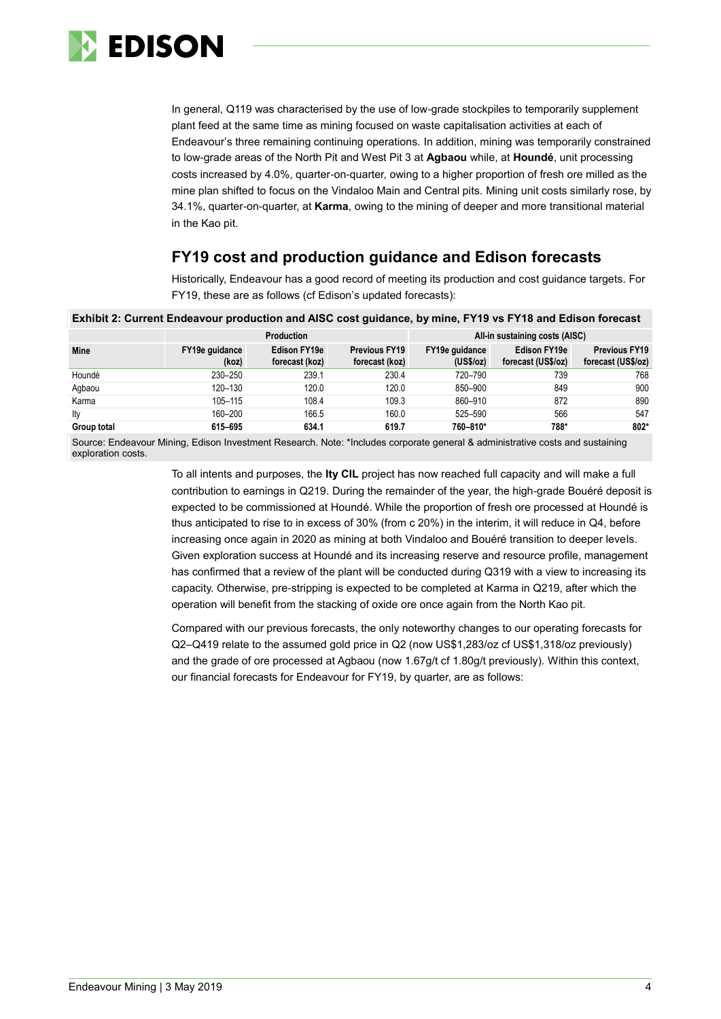

In general, Q119 was characterised by the use of low-grade stockpiles to temporarily supplement plant feed at the same time as mining focused on waste capitalisation activities at each of Endeavour's three remaining continuing operations. In addition, mining was temporarily constrained to low-grade areas of the North Pit and West Pit 3 at **Agbaou** while, at **Houndé**, unit processing costs increased by 4.0%, quarter-on-quarter, owing to a higher proportion of fresh ore milled as the mine plan shifted to focus on the Vindaloo Main and Central pits. Mining unit costs similarly rose, by 34.1%, quarter-on-quarter, at **Karma**, owing to the mining of deeper and more transitional material in the Kao pit.

### **FY19 cost and production guidance and Edison forecasts**

Historically, Endeavour has a good record of meeting its production and cost guidance targets. For FY19, these are as follows (cf Edison's updated forecasts):

| Exhibit 2: Current Endeavour production and AISC cost guidance, by mine, FY19 vs FY18 and Edison forecast |                         |                                                     |                                        |                             |                                           |                                            |  |  |  |  |
|-----------------------------------------------------------------------------------------------------------|-------------------------|-----------------------------------------------------|----------------------------------------|-----------------------------|-------------------------------------------|--------------------------------------------|--|--|--|--|
|                                                                                                           |                         | All-in sustaining costs (AISC)<br><b>Production</b> |                                        |                             |                                           |                                            |  |  |  |  |
| Mine                                                                                                      | FY19e guidance<br>(koz) | Edison FY19e<br>forecast (koz)                      | <b>Previous FY19</b><br>forecast (koz) | FY19e guidance<br>(US\$/oz) | <b>Edison FY19e</b><br>forecast (US\$/oz) | <b>Previous FY19</b><br>forecast (US\$/oz) |  |  |  |  |
| Houndé                                                                                                    | 230-250                 | 239.1                                               | 230.4                                  | 720-790                     | 739                                       | 768                                        |  |  |  |  |
| Agbaou                                                                                                    | 120-130                 | 120.0                                               | 120.0                                  | 850-900                     | 849                                       | 900                                        |  |  |  |  |
| Karma                                                                                                     | $105 - 115$             | 108.4                                               | 109.3                                  | 860-910                     | 872                                       | 890                                        |  |  |  |  |
| lty                                                                                                       | 160-200                 | 166.5                                               | 160.0                                  | 525-590                     | 566                                       | 547                                        |  |  |  |  |
| Group total                                                                                               | 615-695                 | 634.1                                               | 619.7                                  | 760-810*                    | 788*                                      | $802*$                                     |  |  |  |  |

Source: Endeavour Mining, Edison Investment Research. Note: \*Includes corporate general & administrative costs and sustaining exploration costs.

> To all intents and purposes, the **Ity CIL** project has now reached full capacity and will make a full contribution to earnings in Q219. During the remainder of the year, the high-grade Bouéré deposit is expected to be commissioned at Houndé. While the proportion of fresh ore processed at Houndé is thus anticipated to rise to in excess of 30% (from c 20%) in the interim, it will reduce in Q4, before increasing once again in 2020 as mining at both Vindaloo and Bouéré transition to deeper levels. Given exploration success at Houndé and its increasing reserve and resource profile, management has confirmed that a review of the plant will be conducted during Q319 with a view to increasing its capacity. Otherwise, pre-stripping is expected to be completed at Karma in Q219, after which the operation will benefit from the stacking of oxide ore once again from the North Kao pit.

Compared with our previous forecasts, the only noteworthy changes to our operating forecasts for Q2–Q419 relate to the assumed gold price in Q2 (now US\$1,283/oz cf US\$1,318/oz previously) and the grade of ore processed at Agbaou (now 1.67g/t cf 1.80g/t previously). Within this context, our financial forecasts for Endeavour for FY19, by quarter, are as follows: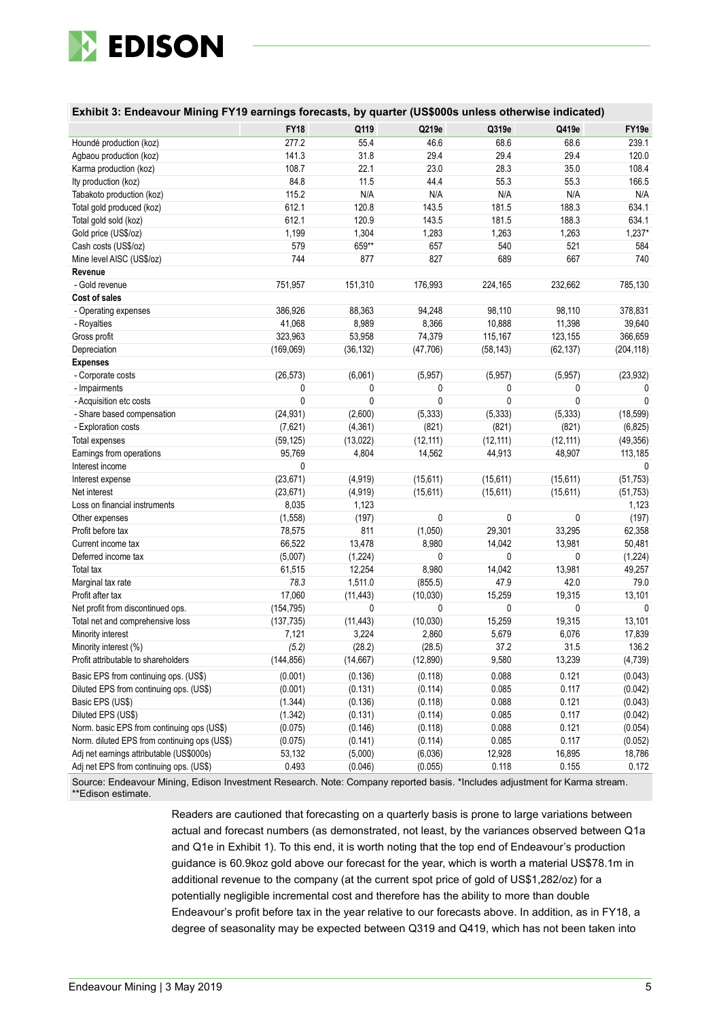

| <b>FY18</b><br>Q219e<br>Q319e<br>Q419e<br>Q119<br>FY19e<br>277.2<br>55.4<br>46.6<br>68.6<br>68.6<br>239.1<br>Houndé production (koz)<br>31.8<br>29.4<br>29.4<br>141.3<br>29.4<br>120.0<br>Agbaou production (koz)<br>108.7<br>22.1<br>23.0<br>28.3<br>35.0<br>108.4<br>Karma production (koz)<br>84.8<br>11.5<br>55.3<br>Ity production (koz)<br>44.4<br>55.3<br>166.5<br>N/A<br>115.2<br>N/A<br>N/A<br>N/A<br>N/A<br>Tabakoto production (koz)<br>181.5<br>612.1<br>120.8<br>143.5<br>188.3<br>634.1<br>Total gold produced (koz)<br>612.1<br>120.9<br>143.5<br>181.5<br>188.3<br>634.1<br>Total gold sold (koz)<br>1,199<br>1,304<br>1,263<br>1,263<br>$1,237*$<br>Gold price (US\$/oz)<br>1,283<br>659**<br>579<br>657<br>540<br>521<br>Cash costs (US\$/oz)<br>584<br>744<br>877<br>827<br>689<br>667<br>Mine level AISC (US\$/oz)<br>740<br>Revenue<br>751,957<br>232,662<br>785,130<br>- Gold revenue<br>151,310<br>176,993<br>224,165<br>Cost of sales<br>386,926<br>88,363<br>94,248<br>98,110<br>98,110<br>378,831<br>- Operating expenses<br>41,068<br>8,989<br>8,366<br>10,888<br>11,398<br>39,640<br>- Royalties<br>323,963<br>53,958<br>74,379<br>115,167<br>123,155<br>366,659<br>Gross profit<br>Depreciation<br>(169,069)<br>(36, 132)<br>(47, 706)<br>(58, 143)<br>(62, 137)<br>(204, 118)<br><b>Expenses</b><br>- Corporate costs<br>(26, 573)<br>(6,061)<br>(5,957)<br>(5,957)<br>(5,957)<br>(23, 932)<br>- Impairments<br>0<br>0<br>0<br>0<br>0<br>$\theta$<br>$\mathbf{0}$<br>$\mathbf 0$<br>$\mathbf 0$<br>0<br>0<br>$\mathbf{0}$<br>- Acquisition etc costs<br>(24, 931)<br>(5, 333)<br>(5, 333)<br>(5, 333)<br>(18, 599)<br>- Share based compensation<br>(2,600)<br>- Exploration costs<br>(7,621)<br>(4, 361)<br>(821)<br>(821)<br>(821)<br>(6, 825)<br>(59, 125)<br>(13,022)<br>(12, 111)<br>(12, 111)<br>(12, 111)<br>(49, 356)<br>Total expenses<br>95,769<br>113,185<br>Earnings from operations<br>4,804<br>14,562<br>44,913<br>48,907<br>0<br>Interest income<br>$\Omega$<br>(15, 611)<br>(15, 611)<br>(23, 671)<br>(4, 919)<br>(15, 611)<br>(51, 753)<br>Interest expense<br>(4, 919)<br>Net interest<br>(23, 671)<br>(15, 611)<br>(15, 611)<br>(15, 611)<br>(51, 753)<br>8,035<br>1,123<br>Loss on financial instruments<br>1,123<br>(1, 558)<br>(197)<br>0<br>0<br>0<br>(197)<br>Other expenses<br>78,575<br>811<br>(1,050)<br>29,301<br>33,295<br>Profit before tax<br>62,358<br>66,522<br>8,980<br>14,042<br>13,981<br>50,481<br>Current income tax<br>13,478<br>(5,007)<br>(1, 224)<br>0<br>0<br>(1,224)<br>0<br>Deferred income tax<br>61,515<br>12,254<br>8,980<br>14,042<br>13,981<br>49,257<br>Total tax<br>78.3<br>47.9<br>42.0<br>79.0<br>Marginal tax rate<br>1,511.0<br>(855.5)<br>Profit after tax<br>17,060<br>15,259<br>19,315<br>13,101<br>(11, 443)<br>(10, 030)<br>0<br>0<br>0<br>Net profit from discontinued ops.<br>(154, 795)<br>0<br>$\mathbf{0}$<br>(10, 030)<br>15,259<br>19,315<br>13,101<br>Total net and comprehensive loss<br>(137, 735)<br>(11, 443)<br>7,121<br>3,224<br>5,679<br>6,076<br>17,839<br>Minority interest<br>2,860<br>(5.2)<br>(28.2)<br>136.2<br>Minority interest (%)<br>(28.5)<br>37.2<br>31.5<br>9,580<br>(144, 856)<br>(14, 667)<br>(12,890)<br>13,239<br>(4, 739)<br>Profit attributable to shareholders<br>(0.001)<br>0.088<br>0.121<br>Basic EPS from continuing ops. (US\$)<br>(0.136)<br>(0.118)<br>(0.043)<br>0.085<br>0.117<br>Diluted EPS from continuing ops. (US\$)<br>(0.001)<br>(0.131)<br>(0.114)<br>(0.042)<br>0.088<br>0.121<br>Basic EPS (US\$)<br>(1.344)<br>(0.136)<br>(0.118)<br>(0.043)<br>(0.131)<br>0.085<br>0.117<br>Diluted EPS (US\$)<br>(1.342)<br>(0.114)<br>(0.042)<br>Norm. basic EPS from continuing ops (US\$)<br>(0.075)<br>(0.146)<br>(0.118)<br>0.088<br>0.121<br>(0.054)<br>Norm. diluted EPS from continuing ops (US\$)<br>(0.075)<br>(0.141)<br>(0.114)<br>0.085<br>0.117<br>(0.052)<br>Adj net earnings attributable (US\$000s)<br>53,132<br>(5,000)<br>(6,036)<br>12,928<br>16,895<br>18,786 | Exhibit 3: Endeavour Mining FY19 earnings forecasts, by quarter (US\$000s unless otherwise indicated) |       |         |         |       |       |       |
|------------------------------------------------------------------------------------------------------------------------------------------------------------------------------------------------------------------------------------------------------------------------------------------------------------------------------------------------------------------------------------------------------------------------------------------------------------------------------------------------------------------------------------------------------------------------------------------------------------------------------------------------------------------------------------------------------------------------------------------------------------------------------------------------------------------------------------------------------------------------------------------------------------------------------------------------------------------------------------------------------------------------------------------------------------------------------------------------------------------------------------------------------------------------------------------------------------------------------------------------------------------------------------------------------------------------------------------------------------------------------------------------------------------------------------------------------------------------------------------------------------------------------------------------------------------------------------------------------------------------------------------------------------------------------------------------------------------------------------------------------------------------------------------------------------------------------------------------------------------------------------------------------------------------------------------------------------------------------------------------------------------------------------------------------------------------------------------------------------------------------------------------------------------------------------------------------------------------------------------------------------------------------------------------------------------------------------------------------------------------------------------------------------------------------------------------------------------------------------------------------------------------------------------------------------------------------------------------------------------------------------------------------------------------------------------------------------------------------------------------------------------------------------------------------------------------------------------------------------------------------------------------------------------------------------------------------------------------------------------------------------------------------------------------------------------------------------------------------------------------------------------------------------------------------------------------------------------------------------------------------------------------------------------------------------------------------------------------------------------------------------------------------------------------------------------------------------------------------------------------------------------------------------------------------------------------------------------------------------------------------------------------------------------------------------------------------------------------------------------------------------------------------------------------------------------------------------------------------------------------------------------------------------------------------------------------------------------------------------------------------------------------|-------------------------------------------------------------------------------------------------------|-------|---------|---------|-------|-------|-------|
|                                                                                                                                                                                                                                                                                                                                                                                                                                                                                                                                                                                                                                                                                                                                                                                                                                                                                                                                                                                                                                                                                                                                                                                                                                                                                                                                                                                                                                                                                                                                                                                                                                                                                                                                                                                                                                                                                                                                                                                                                                                                                                                                                                                                                                                                                                                                                                                                                                                                                                                                                                                                                                                                                                                                                                                                                                                                                                                                                                                                                                                                                                                                                                                                                                                                                                                                                                                                                                                                                                                                                                                                                                                                                                                                                                                                                                                                                                                                                                                                                        |                                                                                                       |       |         |         |       |       |       |
|                                                                                                                                                                                                                                                                                                                                                                                                                                                                                                                                                                                                                                                                                                                                                                                                                                                                                                                                                                                                                                                                                                                                                                                                                                                                                                                                                                                                                                                                                                                                                                                                                                                                                                                                                                                                                                                                                                                                                                                                                                                                                                                                                                                                                                                                                                                                                                                                                                                                                                                                                                                                                                                                                                                                                                                                                                                                                                                                                                                                                                                                                                                                                                                                                                                                                                                                                                                                                                                                                                                                                                                                                                                                                                                                                                                                                                                                                                                                                                                                                        |                                                                                                       |       |         |         |       |       |       |
|                                                                                                                                                                                                                                                                                                                                                                                                                                                                                                                                                                                                                                                                                                                                                                                                                                                                                                                                                                                                                                                                                                                                                                                                                                                                                                                                                                                                                                                                                                                                                                                                                                                                                                                                                                                                                                                                                                                                                                                                                                                                                                                                                                                                                                                                                                                                                                                                                                                                                                                                                                                                                                                                                                                                                                                                                                                                                                                                                                                                                                                                                                                                                                                                                                                                                                                                                                                                                                                                                                                                                                                                                                                                                                                                                                                                                                                                                                                                                                                                                        |                                                                                                       |       |         |         |       |       |       |
|                                                                                                                                                                                                                                                                                                                                                                                                                                                                                                                                                                                                                                                                                                                                                                                                                                                                                                                                                                                                                                                                                                                                                                                                                                                                                                                                                                                                                                                                                                                                                                                                                                                                                                                                                                                                                                                                                                                                                                                                                                                                                                                                                                                                                                                                                                                                                                                                                                                                                                                                                                                                                                                                                                                                                                                                                                                                                                                                                                                                                                                                                                                                                                                                                                                                                                                                                                                                                                                                                                                                                                                                                                                                                                                                                                                                                                                                                                                                                                                                                        |                                                                                                       |       |         |         |       |       |       |
|                                                                                                                                                                                                                                                                                                                                                                                                                                                                                                                                                                                                                                                                                                                                                                                                                                                                                                                                                                                                                                                                                                                                                                                                                                                                                                                                                                                                                                                                                                                                                                                                                                                                                                                                                                                                                                                                                                                                                                                                                                                                                                                                                                                                                                                                                                                                                                                                                                                                                                                                                                                                                                                                                                                                                                                                                                                                                                                                                                                                                                                                                                                                                                                                                                                                                                                                                                                                                                                                                                                                                                                                                                                                                                                                                                                                                                                                                                                                                                                                                        |                                                                                                       |       |         |         |       |       |       |
|                                                                                                                                                                                                                                                                                                                                                                                                                                                                                                                                                                                                                                                                                                                                                                                                                                                                                                                                                                                                                                                                                                                                                                                                                                                                                                                                                                                                                                                                                                                                                                                                                                                                                                                                                                                                                                                                                                                                                                                                                                                                                                                                                                                                                                                                                                                                                                                                                                                                                                                                                                                                                                                                                                                                                                                                                                                                                                                                                                                                                                                                                                                                                                                                                                                                                                                                                                                                                                                                                                                                                                                                                                                                                                                                                                                                                                                                                                                                                                                                                        |                                                                                                       |       |         |         |       |       |       |
|                                                                                                                                                                                                                                                                                                                                                                                                                                                                                                                                                                                                                                                                                                                                                                                                                                                                                                                                                                                                                                                                                                                                                                                                                                                                                                                                                                                                                                                                                                                                                                                                                                                                                                                                                                                                                                                                                                                                                                                                                                                                                                                                                                                                                                                                                                                                                                                                                                                                                                                                                                                                                                                                                                                                                                                                                                                                                                                                                                                                                                                                                                                                                                                                                                                                                                                                                                                                                                                                                                                                                                                                                                                                                                                                                                                                                                                                                                                                                                                                                        |                                                                                                       |       |         |         |       |       |       |
|                                                                                                                                                                                                                                                                                                                                                                                                                                                                                                                                                                                                                                                                                                                                                                                                                                                                                                                                                                                                                                                                                                                                                                                                                                                                                                                                                                                                                                                                                                                                                                                                                                                                                                                                                                                                                                                                                                                                                                                                                                                                                                                                                                                                                                                                                                                                                                                                                                                                                                                                                                                                                                                                                                                                                                                                                                                                                                                                                                                                                                                                                                                                                                                                                                                                                                                                                                                                                                                                                                                                                                                                                                                                                                                                                                                                                                                                                                                                                                                                                        |                                                                                                       |       |         |         |       |       |       |
|                                                                                                                                                                                                                                                                                                                                                                                                                                                                                                                                                                                                                                                                                                                                                                                                                                                                                                                                                                                                                                                                                                                                                                                                                                                                                                                                                                                                                                                                                                                                                                                                                                                                                                                                                                                                                                                                                                                                                                                                                                                                                                                                                                                                                                                                                                                                                                                                                                                                                                                                                                                                                                                                                                                                                                                                                                                                                                                                                                                                                                                                                                                                                                                                                                                                                                                                                                                                                                                                                                                                                                                                                                                                                                                                                                                                                                                                                                                                                                                                                        |                                                                                                       |       |         |         |       |       |       |
|                                                                                                                                                                                                                                                                                                                                                                                                                                                                                                                                                                                                                                                                                                                                                                                                                                                                                                                                                                                                                                                                                                                                                                                                                                                                                                                                                                                                                                                                                                                                                                                                                                                                                                                                                                                                                                                                                                                                                                                                                                                                                                                                                                                                                                                                                                                                                                                                                                                                                                                                                                                                                                                                                                                                                                                                                                                                                                                                                                                                                                                                                                                                                                                                                                                                                                                                                                                                                                                                                                                                                                                                                                                                                                                                                                                                                                                                                                                                                                                                                        |                                                                                                       |       |         |         |       |       |       |
|                                                                                                                                                                                                                                                                                                                                                                                                                                                                                                                                                                                                                                                                                                                                                                                                                                                                                                                                                                                                                                                                                                                                                                                                                                                                                                                                                                                                                                                                                                                                                                                                                                                                                                                                                                                                                                                                                                                                                                                                                                                                                                                                                                                                                                                                                                                                                                                                                                                                                                                                                                                                                                                                                                                                                                                                                                                                                                                                                                                                                                                                                                                                                                                                                                                                                                                                                                                                                                                                                                                                                                                                                                                                                                                                                                                                                                                                                                                                                                                                                        |                                                                                                       |       |         |         |       |       |       |
|                                                                                                                                                                                                                                                                                                                                                                                                                                                                                                                                                                                                                                                                                                                                                                                                                                                                                                                                                                                                                                                                                                                                                                                                                                                                                                                                                                                                                                                                                                                                                                                                                                                                                                                                                                                                                                                                                                                                                                                                                                                                                                                                                                                                                                                                                                                                                                                                                                                                                                                                                                                                                                                                                                                                                                                                                                                                                                                                                                                                                                                                                                                                                                                                                                                                                                                                                                                                                                                                                                                                                                                                                                                                                                                                                                                                                                                                                                                                                                                                                        |                                                                                                       |       |         |         |       |       |       |
|                                                                                                                                                                                                                                                                                                                                                                                                                                                                                                                                                                                                                                                                                                                                                                                                                                                                                                                                                                                                                                                                                                                                                                                                                                                                                                                                                                                                                                                                                                                                                                                                                                                                                                                                                                                                                                                                                                                                                                                                                                                                                                                                                                                                                                                                                                                                                                                                                                                                                                                                                                                                                                                                                                                                                                                                                                                                                                                                                                                                                                                                                                                                                                                                                                                                                                                                                                                                                                                                                                                                                                                                                                                                                                                                                                                                                                                                                                                                                                                                                        |                                                                                                       |       |         |         |       |       |       |
|                                                                                                                                                                                                                                                                                                                                                                                                                                                                                                                                                                                                                                                                                                                                                                                                                                                                                                                                                                                                                                                                                                                                                                                                                                                                                                                                                                                                                                                                                                                                                                                                                                                                                                                                                                                                                                                                                                                                                                                                                                                                                                                                                                                                                                                                                                                                                                                                                                                                                                                                                                                                                                                                                                                                                                                                                                                                                                                                                                                                                                                                                                                                                                                                                                                                                                                                                                                                                                                                                                                                                                                                                                                                                                                                                                                                                                                                                                                                                                                                                        |                                                                                                       |       |         |         |       |       |       |
|                                                                                                                                                                                                                                                                                                                                                                                                                                                                                                                                                                                                                                                                                                                                                                                                                                                                                                                                                                                                                                                                                                                                                                                                                                                                                                                                                                                                                                                                                                                                                                                                                                                                                                                                                                                                                                                                                                                                                                                                                                                                                                                                                                                                                                                                                                                                                                                                                                                                                                                                                                                                                                                                                                                                                                                                                                                                                                                                                                                                                                                                                                                                                                                                                                                                                                                                                                                                                                                                                                                                                                                                                                                                                                                                                                                                                                                                                                                                                                                                                        |                                                                                                       |       |         |         |       |       |       |
|                                                                                                                                                                                                                                                                                                                                                                                                                                                                                                                                                                                                                                                                                                                                                                                                                                                                                                                                                                                                                                                                                                                                                                                                                                                                                                                                                                                                                                                                                                                                                                                                                                                                                                                                                                                                                                                                                                                                                                                                                                                                                                                                                                                                                                                                                                                                                                                                                                                                                                                                                                                                                                                                                                                                                                                                                                                                                                                                                                                                                                                                                                                                                                                                                                                                                                                                                                                                                                                                                                                                                                                                                                                                                                                                                                                                                                                                                                                                                                                                                        |                                                                                                       |       |         |         |       |       |       |
|                                                                                                                                                                                                                                                                                                                                                                                                                                                                                                                                                                                                                                                                                                                                                                                                                                                                                                                                                                                                                                                                                                                                                                                                                                                                                                                                                                                                                                                                                                                                                                                                                                                                                                                                                                                                                                                                                                                                                                                                                                                                                                                                                                                                                                                                                                                                                                                                                                                                                                                                                                                                                                                                                                                                                                                                                                                                                                                                                                                                                                                                                                                                                                                                                                                                                                                                                                                                                                                                                                                                                                                                                                                                                                                                                                                                                                                                                                                                                                                                                        |                                                                                                       |       |         |         |       |       |       |
|                                                                                                                                                                                                                                                                                                                                                                                                                                                                                                                                                                                                                                                                                                                                                                                                                                                                                                                                                                                                                                                                                                                                                                                                                                                                                                                                                                                                                                                                                                                                                                                                                                                                                                                                                                                                                                                                                                                                                                                                                                                                                                                                                                                                                                                                                                                                                                                                                                                                                                                                                                                                                                                                                                                                                                                                                                                                                                                                                                                                                                                                                                                                                                                                                                                                                                                                                                                                                                                                                                                                                                                                                                                                                                                                                                                                                                                                                                                                                                                                                        |                                                                                                       |       |         |         |       |       |       |
|                                                                                                                                                                                                                                                                                                                                                                                                                                                                                                                                                                                                                                                                                                                                                                                                                                                                                                                                                                                                                                                                                                                                                                                                                                                                                                                                                                                                                                                                                                                                                                                                                                                                                                                                                                                                                                                                                                                                                                                                                                                                                                                                                                                                                                                                                                                                                                                                                                                                                                                                                                                                                                                                                                                                                                                                                                                                                                                                                                                                                                                                                                                                                                                                                                                                                                                                                                                                                                                                                                                                                                                                                                                                                                                                                                                                                                                                                                                                                                                                                        |                                                                                                       |       |         |         |       |       |       |
|                                                                                                                                                                                                                                                                                                                                                                                                                                                                                                                                                                                                                                                                                                                                                                                                                                                                                                                                                                                                                                                                                                                                                                                                                                                                                                                                                                                                                                                                                                                                                                                                                                                                                                                                                                                                                                                                                                                                                                                                                                                                                                                                                                                                                                                                                                                                                                                                                                                                                                                                                                                                                                                                                                                                                                                                                                                                                                                                                                                                                                                                                                                                                                                                                                                                                                                                                                                                                                                                                                                                                                                                                                                                                                                                                                                                                                                                                                                                                                                                                        |                                                                                                       |       |         |         |       |       |       |
|                                                                                                                                                                                                                                                                                                                                                                                                                                                                                                                                                                                                                                                                                                                                                                                                                                                                                                                                                                                                                                                                                                                                                                                                                                                                                                                                                                                                                                                                                                                                                                                                                                                                                                                                                                                                                                                                                                                                                                                                                                                                                                                                                                                                                                                                                                                                                                                                                                                                                                                                                                                                                                                                                                                                                                                                                                                                                                                                                                                                                                                                                                                                                                                                                                                                                                                                                                                                                                                                                                                                                                                                                                                                                                                                                                                                                                                                                                                                                                                                                        |                                                                                                       |       |         |         |       |       |       |
|                                                                                                                                                                                                                                                                                                                                                                                                                                                                                                                                                                                                                                                                                                                                                                                                                                                                                                                                                                                                                                                                                                                                                                                                                                                                                                                                                                                                                                                                                                                                                                                                                                                                                                                                                                                                                                                                                                                                                                                                                                                                                                                                                                                                                                                                                                                                                                                                                                                                                                                                                                                                                                                                                                                                                                                                                                                                                                                                                                                                                                                                                                                                                                                                                                                                                                                                                                                                                                                                                                                                                                                                                                                                                                                                                                                                                                                                                                                                                                                                                        |                                                                                                       |       |         |         |       |       |       |
|                                                                                                                                                                                                                                                                                                                                                                                                                                                                                                                                                                                                                                                                                                                                                                                                                                                                                                                                                                                                                                                                                                                                                                                                                                                                                                                                                                                                                                                                                                                                                                                                                                                                                                                                                                                                                                                                                                                                                                                                                                                                                                                                                                                                                                                                                                                                                                                                                                                                                                                                                                                                                                                                                                                                                                                                                                                                                                                                                                                                                                                                                                                                                                                                                                                                                                                                                                                                                                                                                                                                                                                                                                                                                                                                                                                                                                                                                                                                                                                                                        |                                                                                                       |       |         |         |       |       |       |
|                                                                                                                                                                                                                                                                                                                                                                                                                                                                                                                                                                                                                                                                                                                                                                                                                                                                                                                                                                                                                                                                                                                                                                                                                                                                                                                                                                                                                                                                                                                                                                                                                                                                                                                                                                                                                                                                                                                                                                                                                                                                                                                                                                                                                                                                                                                                                                                                                                                                                                                                                                                                                                                                                                                                                                                                                                                                                                                                                                                                                                                                                                                                                                                                                                                                                                                                                                                                                                                                                                                                                                                                                                                                                                                                                                                                                                                                                                                                                                                                                        |                                                                                                       |       |         |         |       |       |       |
|                                                                                                                                                                                                                                                                                                                                                                                                                                                                                                                                                                                                                                                                                                                                                                                                                                                                                                                                                                                                                                                                                                                                                                                                                                                                                                                                                                                                                                                                                                                                                                                                                                                                                                                                                                                                                                                                                                                                                                                                                                                                                                                                                                                                                                                                                                                                                                                                                                                                                                                                                                                                                                                                                                                                                                                                                                                                                                                                                                                                                                                                                                                                                                                                                                                                                                                                                                                                                                                                                                                                                                                                                                                                                                                                                                                                                                                                                                                                                                                                                        |                                                                                                       |       |         |         |       |       |       |
|                                                                                                                                                                                                                                                                                                                                                                                                                                                                                                                                                                                                                                                                                                                                                                                                                                                                                                                                                                                                                                                                                                                                                                                                                                                                                                                                                                                                                                                                                                                                                                                                                                                                                                                                                                                                                                                                                                                                                                                                                                                                                                                                                                                                                                                                                                                                                                                                                                                                                                                                                                                                                                                                                                                                                                                                                                                                                                                                                                                                                                                                                                                                                                                                                                                                                                                                                                                                                                                                                                                                                                                                                                                                                                                                                                                                                                                                                                                                                                                                                        |                                                                                                       |       |         |         |       |       |       |
|                                                                                                                                                                                                                                                                                                                                                                                                                                                                                                                                                                                                                                                                                                                                                                                                                                                                                                                                                                                                                                                                                                                                                                                                                                                                                                                                                                                                                                                                                                                                                                                                                                                                                                                                                                                                                                                                                                                                                                                                                                                                                                                                                                                                                                                                                                                                                                                                                                                                                                                                                                                                                                                                                                                                                                                                                                                                                                                                                                                                                                                                                                                                                                                                                                                                                                                                                                                                                                                                                                                                                                                                                                                                                                                                                                                                                                                                                                                                                                                                                        |                                                                                                       |       |         |         |       |       |       |
|                                                                                                                                                                                                                                                                                                                                                                                                                                                                                                                                                                                                                                                                                                                                                                                                                                                                                                                                                                                                                                                                                                                                                                                                                                                                                                                                                                                                                                                                                                                                                                                                                                                                                                                                                                                                                                                                                                                                                                                                                                                                                                                                                                                                                                                                                                                                                                                                                                                                                                                                                                                                                                                                                                                                                                                                                                                                                                                                                                                                                                                                                                                                                                                                                                                                                                                                                                                                                                                                                                                                                                                                                                                                                                                                                                                                                                                                                                                                                                                                                        |                                                                                                       |       |         |         |       |       |       |
|                                                                                                                                                                                                                                                                                                                                                                                                                                                                                                                                                                                                                                                                                                                                                                                                                                                                                                                                                                                                                                                                                                                                                                                                                                                                                                                                                                                                                                                                                                                                                                                                                                                                                                                                                                                                                                                                                                                                                                                                                                                                                                                                                                                                                                                                                                                                                                                                                                                                                                                                                                                                                                                                                                                                                                                                                                                                                                                                                                                                                                                                                                                                                                                                                                                                                                                                                                                                                                                                                                                                                                                                                                                                                                                                                                                                                                                                                                                                                                                                                        |                                                                                                       |       |         |         |       |       |       |
|                                                                                                                                                                                                                                                                                                                                                                                                                                                                                                                                                                                                                                                                                                                                                                                                                                                                                                                                                                                                                                                                                                                                                                                                                                                                                                                                                                                                                                                                                                                                                                                                                                                                                                                                                                                                                                                                                                                                                                                                                                                                                                                                                                                                                                                                                                                                                                                                                                                                                                                                                                                                                                                                                                                                                                                                                                                                                                                                                                                                                                                                                                                                                                                                                                                                                                                                                                                                                                                                                                                                                                                                                                                                                                                                                                                                                                                                                                                                                                                                                        |                                                                                                       |       |         |         |       |       |       |
|                                                                                                                                                                                                                                                                                                                                                                                                                                                                                                                                                                                                                                                                                                                                                                                                                                                                                                                                                                                                                                                                                                                                                                                                                                                                                                                                                                                                                                                                                                                                                                                                                                                                                                                                                                                                                                                                                                                                                                                                                                                                                                                                                                                                                                                                                                                                                                                                                                                                                                                                                                                                                                                                                                                                                                                                                                                                                                                                                                                                                                                                                                                                                                                                                                                                                                                                                                                                                                                                                                                                                                                                                                                                                                                                                                                                                                                                                                                                                                                                                        |                                                                                                       |       |         |         |       |       |       |
|                                                                                                                                                                                                                                                                                                                                                                                                                                                                                                                                                                                                                                                                                                                                                                                                                                                                                                                                                                                                                                                                                                                                                                                                                                                                                                                                                                                                                                                                                                                                                                                                                                                                                                                                                                                                                                                                                                                                                                                                                                                                                                                                                                                                                                                                                                                                                                                                                                                                                                                                                                                                                                                                                                                                                                                                                                                                                                                                                                                                                                                                                                                                                                                                                                                                                                                                                                                                                                                                                                                                                                                                                                                                                                                                                                                                                                                                                                                                                                                                                        |                                                                                                       |       |         |         |       |       |       |
|                                                                                                                                                                                                                                                                                                                                                                                                                                                                                                                                                                                                                                                                                                                                                                                                                                                                                                                                                                                                                                                                                                                                                                                                                                                                                                                                                                                                                                                                                                                                                                                                                                                                                                                                                                                                                                                                                                                                                                                                                                                                                                                                                                                                                                                                                                                                                                                                                                                                                                                                                                                                                                                                                                                                                                                                                                                                                                                                                                                                                                                                                                                                                                                                                                                                                                                                                                                                                                                                                                                                                                                                                                                                                                                                                                                                                                                                                                                                                                                                                        |                                                                                                       |       |         |         |       |       |       |
|                                                                                                                                                                                                                                                                                                                                                                                                                                                                                                                                                                                                                                                                                                                                                                                                                                                                                                                                                                                                                                                                                                                                                                                                                                                                                                                                                                                                                                                                                                                                                                                                                                                                                                                                                                                                                                                                                                                                                                                                                                                                                                                                                                                                                                                                                                                                                                                                                                                                                                                                                                                                                                                                                                                                                                                                                                                                                                                                                                                                                                                                                                                                                                                                                                                                                                                                                                                                                                                                                                                                                                                                                                                                                                                                                                                                                                                                                                                                                                                                                        |                                                                                                       |       |         |         |       |       |       |
|                                                                                                                                                                                                                                                                                                                                                                                                                                                                                                                                                                                                                                                                                                                                                                                                                                                                                                                                                                                                                                                                                                                                                                                                                                                                                                                                                                                                                                                                                                                                                                                                                                                                                                                                                                                                                                                                                                                                                                                                                                                                                                                                                                                                                                                                                                                                                                                                                                                                                                                                                                                                                                                                                                                                                                                                                                                                                                                                                                                                                                                                                                                                                                                                                                                                                                                                                                                                                                                                                                                                                                                                                                                                                                                                                                                                                                                                                                                                                                                                                        |                                                                                                       |       |         |         |       |       |       |
|                                                                                                                                                                                                                                                                                                                                                                                                                                                                                                                                                                                                                                                                                                                                                                                                                                                                                                                                                                                                                                                                                                                                                                                                                                                                                                                                                                                                                                                                                                                                                                                                                                                                                                                                                                                                                                                                                                                                                                                                                                                                                                                                                                                                                                                                                                                                                                                                                                                                                                                                                                                                                                                                                                                                                                                                                                                                                                                                                                                                                                                                                                                                                                                                                                                                                                                                                                                                                                                                                                                                                                                                                                                                                                                                                                                                                                                                                                                                                                                                                        |                                                                                                       |       |         |         |       |       |       |
|                                                                                                                                                                                                                                                                                                                                                                                                                                                                                                                                                                                                                                                                                                                                                                                                                                                                                                                                                                                                                                                                                                                                                                                                                                                                                                                                                                                                                                                                                                                                                                                                                                                                                                                                                                                                                                                                                                                                                                                                                                                                                                                                                                                                                                                                                                                                                                                                                                                                                                                                                                                                                                                                                                                                                                                                                                                                                                                                                                                                                                                                                                                                                                                                                                                                                                                                                                                                                                                                                                                                                                                                                                                                                                                                                                                                                                                                                                                                                                                                                        |                                                                                                       |       |         |         |       |       |       |
|                                                                                                                                                                                                                                                                                                                                                                                                                                                                                                                                                                                                                                                                                                                                                                                                                                                                                                                                                                                                                                                                                                                                                                                                                                                                                                                                                                                                                                                                                                                                                                                                                                                                                                                                                                                                                                                                                                                                                                                                                                                                                                                                                                                                                                                                                                                                                                                                                                                                                                                                                                                                                                                                                                                                                                                                                                                                                                                                                                                                                                                                                                                                                                                                                                                                                                                                                                                                                                                                                                                                                                                                                                                                                                                                                                                                                                                                                                                                                                                                                        |                                                                                                       |       |         |         |       |       |       |
|                                                                                                                                                                                                                                                                                                                                                                                                                                                                                                                                                                                                                                                                                                                                                                                                                                                                                                                                                                                                                                                                                                                                                                                                                                                                                                                                                                                                                                                                                                                                                                                                                                                                                                                                                                                                                                                                                                                                                                                                                                                                                                                                                                                                                                                                                                                                                                                                                                                                                                                                                                                                                                                                                                                                                                                                                                                                                                                                                                                                                                                                                                                                                                                                                                                                                                                                                                                                                                                                                                                                                                                                                                                                                                                                                                                                                                                                                                                                                                                                                        |                                                                                                       |       |         |         |       |       |       |
|                                                                                                                                                                                                                                                                                                                                                                                                                                                                                                                                                                                                                                                                                                                                                                                                                                                                                                                                                                                                                                                                                                                                                                                                                                                                                                                                                                                                                                                                                                                                                                                                                                                                                                                                                                                                                                                                                                                                                                                                                                                                                                                                                                                                                                                                                                                                                                                                                                                                                                                                                                                                                                                                                                                                                                                                                                                                                                                                                                                                                                                                                                                                                                                                                                                                                                                                                                                                                                                                                                                                                                                                                                                                                                                                                                                                                                                                                                                                                                                                                        |                                                                                                       |       |         |         |       |       |       |
|                                                                                                                                                                                                                                                                                                                                                                                                                                                                                                                                                                                                                                                                                                                                                                                                                                                                                                                                                                                                                                                                                                                                                                                                                                                                                                                                                                                                                                                                                                                                                                                                                                                                                                                                                                                                                                                                                                                                                                                                                                                                                                                                                                                                                                                                                                                                                                                                                                                                                                                                                                                                                                                                                                                                                                                                                                                                                                                                                                                                                                                                                                                                                                                                                                                                                                                                                                                                                                                                                                                                                                                                                                                                                                                                                                                                                                                                                                                                                                                                                        |                                                                                                       |       |         |         |       |       |       |
|                                                                                                                                                                                                                                                                                                                                                                                                                                                                                                                                                                                                                                                                                                                                                                                                                                                                                                                                                                                                                                                                                                                                                                                                                                                                                                                                                                                                                                                                                                                                                                                                                                                                                                                                                                                                                                                                                                                                                                                                                                                                                                                                                                                                                                                                                                                                                                                                                                                                                                                                                                                                                                                                                                                                                                                                                                                                                                                                                                                                                                                                                                                                                                                                                                                                                                                                                                                                                                                                                                                                                                                                                                                                                                                                                                                                                                                                                                                                                                                                                        |                                                                                                       |       |         |         |       |       |       |
|                                                                                                                                                                                                                                                                                                                                                                                                                                                                                                                                                                                                                                                                                                                                                                                                                                                                                                                                                                                                                                                                                                                                                                                                                                                                                                                                                                                                                                                                                                                                                                                                                                                                                                                                                                                                                                                                                                                                                                                                                                                                                                                                                                                                                                                                                                                                                                                                                                                                                                                                                                                                                                                                                                                                                                                                                                                                                                                                                                                                                                                                                                                                                                                                                                                                                                                                                                                                                                                                                                                                                                                                                                                                                                                                                                                                                                                                                                                                                                                                                        |                                                                                                       |       |         |         |       |       |       |
|                                                                                                                                                                                                                                                                                                                                                                                                                                                                                                                                                                                                                                                                                                                                                                                                                                                                                                                                                                                                                                                                                                                                                                                                                                                                                                                                                                                                                                                                                                                                                                                                                                                                                                                                                                                                                                                                                                                                                                                                                                                                                                                                                                                                                                                                                                                                                                                                                                                                                                                                                                                                                                                                                                                                                                                                                                                                                                                                                                                                                                                                                                                                                                                                                                                                                                                                                                                                                                                                                                                                                                                                                                                                                                                                                                                                                                                                                                                                                                                                                        |                                                                                                       |       |         |         |       |       |       |
|                                                                                                                                                                                                                                                                                                                                                                                                                                                                                                                                                                                                                                                                                                                                                                                                                                                                                                                                                                                                                                                                                                                                                                                                                                                                                                                                                                                                                                                                                                                                                                                                                                                                                                                                                                                                                                                                                                                                                                                                                                                                                                                                                                                                                                                                                                                                                                                                                                                                                                                                                                                                                                                                                                                                                                                                                                                                                                                                                                                                                                                                                                                                                                                                                                                                                                                                                                                                                                                                                                                                                                                                                                                                                                                                                                                                                                                                                                                                                                                                                        |                                                                                                       |       |         |         |       |       |       |
|                                                                                                                                                                                                                                                                                                                                                                                                                                                                                                                                                                                                                                                                                                                                                                                                                                                                                                                                                                                                                                                                                                                                                                                                                                                                                                                                                                                                                                                                                                                                                                                                                                                                                                                                                                                                                                                                                                                                                                                                                                                                                                                                                                                                                                                                                                                                                                                                                                                                                                                                                                                                                                                                                                                                                                                                                                                                                                                                                                                                                                                                                                                                                                                                                                                                                                                                                                                                                                                                                                                                                                                                                                                                                                                                                                                                                                                                                                                                                                                                                        |                                                                                                       |       |         |         |       |       |       |
|                                                                                                                                                                                                                                                                                                                                                                                                                                                                                                                                                                                                                                                                                                                                                                                                                                                                                                                                                                                                                                                                                                                                                                                                                                                                                                                                                                                                                                                                                                                                                                                                                                                                                                                                                                                                                                                                                                                                                                                                                                                                                                                                                                                                                                                                                                                                                                                                                                                                                                                                                                                                                                                                                                                                                                                                                                                                                                                                                                                                                                                                                                                                                                                                                                                                                                                                                                                                                                                                                                                                                                                                                                                                                                                                                                                                                                                                                                                                                                                                                        |                                                                                                       |       |         |         |       |       |       |
|                                                                                                                                                                                                                                                                                                                                                                                                                                                                                                                                                                                                                                                                                                                                                                                                                                                                                                                                                                                                                                                                                                                                                                                                                                                                                                                                                                                                                                                                                                                                                                                                                                                                                                                                                                                                                                                                                                                                                                                                                                                                                                                                                                                                                                                                                                                                                                                                                                                                                                                                                                                                                                                                                                                                                                                                                                                                                                                                                                                                                                                                                                                                                                                                                                                                                                                                                                                                                                                                                                                                                                                                                                                                                                                                                                                                                                                                                                                                                                                                                        |                                                                                                       |       |         |         |       |       |       |
|                                                                                                                                                                                                                                                                                                                                                                                                                                                                                                                                                                                                                                                                                                                                                                                                                                                                                                                                                                                                                                                                                                                                                                                                                                                                                                                                                                                                                                                                                                                                                                                                                                                                                                                                                                                                                                                                                                                                                                                                                                                                                                                                                                                                                                                                                                                                                                                                                                                                                                                                                                                                                                                                                                                                                                                                                                                                                                                                                                                                                                                                                                                                                                                                                                                                                                                                                                                                                                                                                                                                                                                                                                                                                                                                                                                                                                                                                                                                                                                                                        |                                                                                                       |       |         |         |       |       |       |
|                                                                                                                                                                                                                                                                                                                                                                                                                                                                                                                                                                                                                                                                                                                                                                                                                                                                                                                                                                                                                                                                                                                                                                                                                                                                                                                                                                                                                                                                                                                                                                                                                                                                                                                                                                                                                                                                                                                                                                                                                                                                                                                                                                                                                                                                                                                                                                                                                                                                                                                                                                                                                                                                                                                                                                                                                                                                                                                                                                                                                                                                                                                                                                                                                                                                                                                                                                                                                                                                                                                                                                                                                                                                                                                                                                                                                                                                                                                                                                                                                        | Adj net EPS from continuing ops. (US\$)                                                               | 0.493 | (0.046) | (0.055) | 0.118 | 0.155 | 0.172 |

Source: Endeavour Mining, Edison Investment Research. Note: Company reported basis. \*Includes adjustment for Karma stream. \*\*Edison estimate.

> Readers are cautioned that forecasting on a quarterly basis is prone to large variations between actual and forecast numbers (as demonstrated, not least, by the variances observed between Q1a and Q1e in Exhibit 1). To this end, it is worth noting that the top end of Endeavour's production guidance is 60.9koz gold above our forecast for the year, which is worth a material US\$78.1m in additional revenue to the company (at the current spot price of gold of US\$1,282/oz) for a potentially negligible incremental cost and therefore has the ability to more than double Endeavour's profit before tax in the year relative to our forecasts above. In addition, as in FY18, a degree of seasonality may be expected between Q319 and Q419, which has not been taken into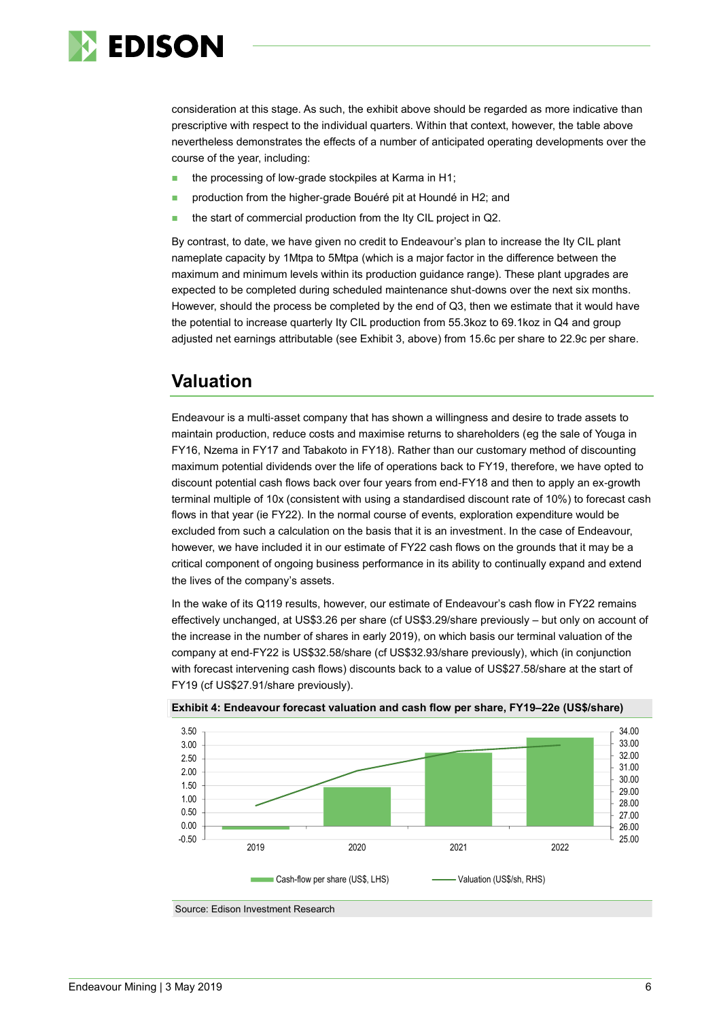

consideration at this stage. As such, the exhibit above should be regarded as more indicative than prescriptive with respect to the individual quarters. Within that context, however, the table above nevertheless demonstrates the effects of a number of anticipated operating developments over the course of the year, including:

- the processing of low-grade stockpiles at Karma in H1;
- **production from the higher-grade Bouéré pit at Houndé in H2; and**
- the start of commercial production from the Ity CIL project in Q2.

By contrast, to date, we have given no credit to Endeavour's plan to increase the Ity CIL plant nameplate capacity by 1Mtpa to 5Mtpa (which is a major factor in the difference between the maximum and minimum levels within its production guidance range). These plant upgrades are expected to be completed during scheduled maintenance shut-downs over the next six months. However, should the process be completed by the end of Q3, then we estimate that it would have the potential to increase quarterly Ity CIL production from 55.3koz to 69.1koz in Q4 and group adjusted net earnings attributable (see Exhibit 3, above) from 15.6c per share to 22.9c per share.

### **Valuation**

Endeavour is a multi-asset company that has shown a willingness and desire to trade assets to maintain production, reduce costs and maximise returns to shareholders (eg the sale of Youga in FY16, Nzema in FY17 and Tabakoto in FY18). Rather than our customary method of discounting maximum potential dividends over the life of operations back to FY19, therefore, we have opted to discount potential cash flows back over four years from end-FY18 and then to apply an ex-growth terminal multiple of 10x (consistent with using a standardised discount rate of 10%) to forecast cash flows in that year (ie FY22). In the normal course of events, exploration expenditure would be excluded from such a calculation on the basis that it is an investment. In the case of Endeavour, however, we have included it in our estimate of FY22 cash flows on the grounds that it may be a critical component of ongoing business performance in its ability to continually expand and extend the lives of the company's assets.

In the wake of its Q119 results, however, our estimate of Endeavour's cash flow in FY22 remains effectively unchanged, at US\$3.26 per share (cf US\$3.29/share previously – but only on account of the increase in the number of shares in early 2019), on which basis our terminal valuation of the company at end-FY22 is US\$32.58/share (cf US\$32.93/share previously), which (in conjunction with forecast intervening cash flows) discounts back to a value of US\$27.58/share at the start of FY19 (cf US\$27.91/share previously).



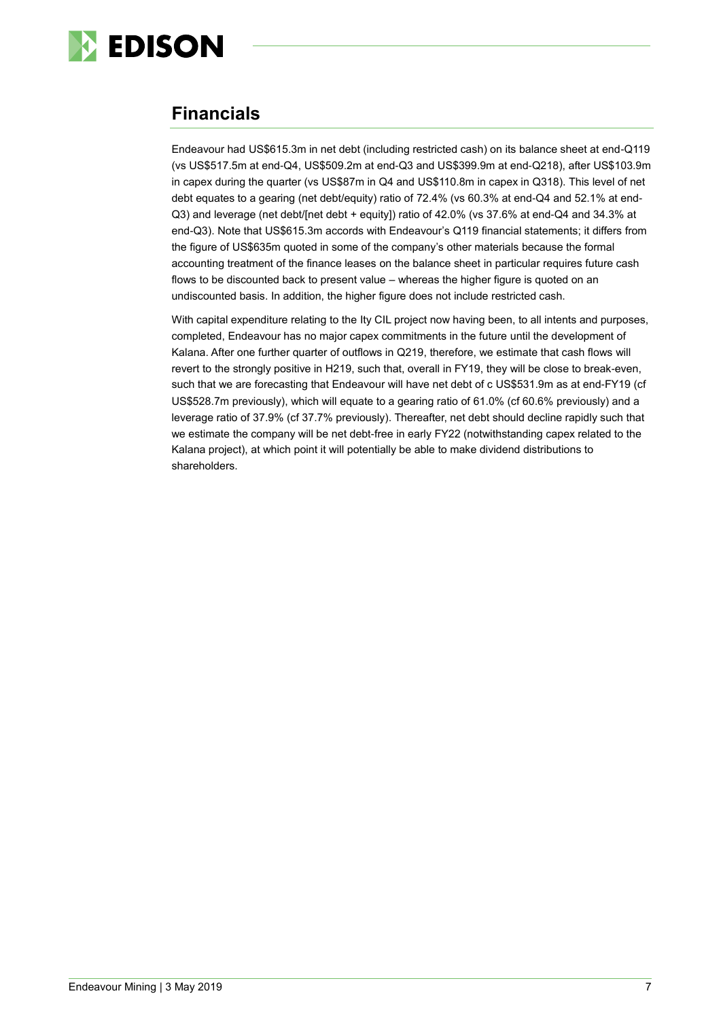

## **Financials**

Endeavour had US\$615.3m in net debt (including restricted cash) on its balance sheet at end-Q119 (vs US\$517.5m at end-Q4, US\$509.2m at end-Q3 and US\$399.9m at end-Q218), after US\$103.9m in capex during the quarter (vs US\$87m in Q4 and US\$110.8m in capex in Q318). This level of net debt equates to a gearing (net debt/equity) ratio of 72.4% (vs 60.3% at end-Q4 and 52.1% at end-Q3) and leverage (net debt/[net debt + equity]) ratio of 42.0% (vs 37.6% at end-Q4 and 34.3% at end-Q3). Note that US\$615.3m accords with Endeavour's Q119 financial statements; it differs from the figure of US\$635m quoted in some of the company's other materials because the formal accounting treatment of the finance leases on the balance sheet in particular requires future cash flows to be discounted back to present value – whereas the higher figure is quoted on an undiscounted basis. In addition, the higher figure does not include restricted cash.

With capital expenditure relating to the Ity CIL project now having been, to all intents and purposes, completed, Endeavour has no major capex commitments in the future until the development of Kalana. After one further quarter of outflows in Q219, therefore, we estimate that cash flows will revert to the strongly positive in H219, such that, overall in FY19, they will be close to break-even, such that we are forecasting that Endeavour will have net debt of c US\$531.9m as at end-FY19 (cf US\$528.7m previously), which will equate to a gearing ratio of 61.0% (cf 60.6% previously) and a leverage ratio of 37.9% (cf 37.7% previously). Thereafter, net debt should decline rapidly such that we estimate the company will be net debt-free in early FY22 (notwithstanding capex related to the Kalana project), at which point it will potentially be able to make dividend distributions to shareholders.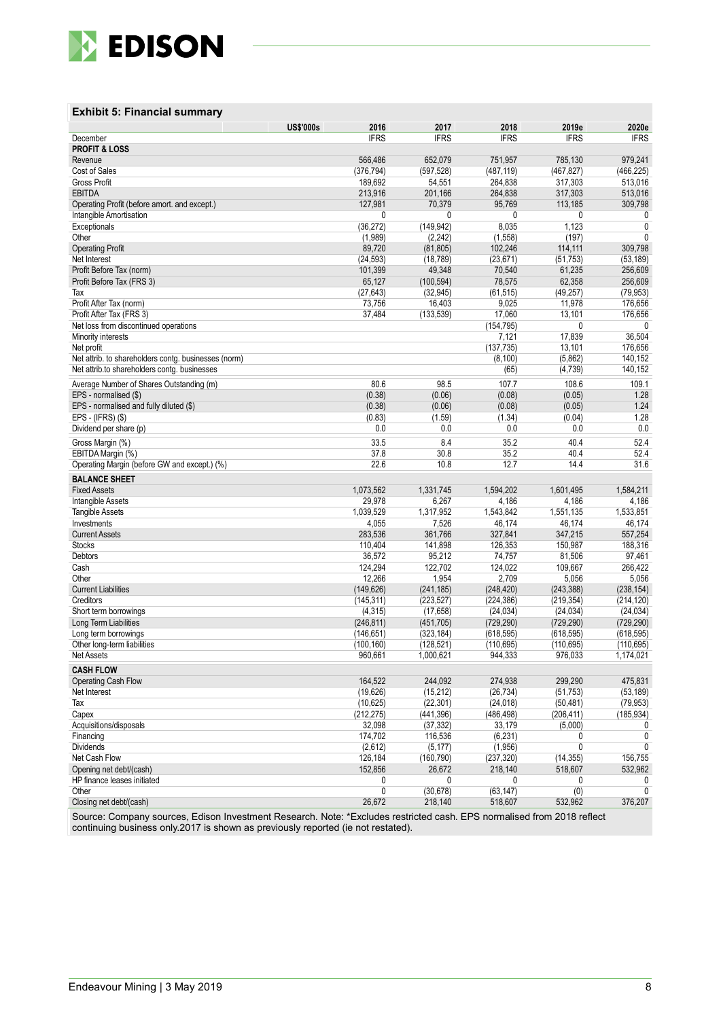

#### **Exhibit 5: Financial summary**

|                                                      | <b>US\$'000s</b> | 2016        | 2017        | 2018        | 2019e       | 2020e        |
|------------------------------------------------------|------------------|-------------|-------------|-------------|-------------|--------------|
| December                                             |                  | <b>IFRS</b> | <b>IFRS</b> | <b>IFRS</b> | <b>IFRS</b> | <b>IFRS</b>  |
| <b>PROFIT &amp; LOSS</b>                             |                  |             |             |             |             |              |
| Revenue                                              |                  | 566,486     | 652,079     | 751,957     | 785,130     | 979,241      |
| Cost of Sales                                        |                  | (376, 794)  | (597, 528)  | (487, 119)  | (467, 827)  | (466,225)    |
| <b>Gross Profit</b>                                  |                  | 189,692     | 54,551      | 264,838     | 317,303     | 513,016      |
| <b>EBITDA</b>                                        |                  | 213,916     | 201,166     | 264,838     | 317,303     | 513,016      |
| Operating Profit (before amort. and except.)         |                  | 127,981     | 70,379      | 95,769      | 113,185     | 309,798      |
| Intangible Amortisation                              |                  | 0           | 0           | 0           | 0           | 0            |
| Exceptionals                                         |                  | (36, 272)   | (149, 942)  | 8,035       | 1,123       | 0            |
|                                                      |                  |             |             |             |             | $\mathbf{0}$ |
| Other                                                |                  | (1,989)     | (2, 242)    | (1, 558)    | (197)       |              |
| <b>Operating Profit</b>                              |                  | 89,720      | (81, 805)   | 102,246     | 114,111     | 309,798      |
| Net Interest                                         |                  | (24, 593)   | (18, 789)   | (23, 671)   | (51, 753)   | (53, 189)    |
| Profit Before Tax (norm)                             |                  | 101,399     | 49,348      | 70,540      | 61,235      | 256,609      |
| Profit Before Tax (FRS 3)                            |                  | 65,127      | (100, 594)  | 78,575      | 62,358      | 256,609      |
| Tax                                                  |                  | (27, 643)   | (32, 945)   | (61, 515)   | (49, 257)   | (79, 953)    |
| Profit After Tax (norm)                              |                  | 73,756      | 16,403      | 9,025       | 11,978      | 176,656      |
| Profit After Tax (FRS 3)                             |                  | 37,484      | (133, 539)  | 17,060      | 13,101      | 176,656      |
| Net loss from discontinued operations                |                  |             |             | (154, 795)  | 0           | 0            |
| Minority interests                                   |                  |             |             | 7,121       | 17,839      | 36,504       |
| Net profit                                           |                  |             |             | (137, 735)  | 13,101      | 176,656      |
| Net attrib. to shareholders contg. businesses (norm) |                  |             |             | (8, 100)    | (5,862)     | 140,152      |
| Net attrib.to shareholders contg. businesses         |                  |             |             | (65)        | (4, 739)    | 140,152      |
|                                                      |                  |             |             |             |             |              |
| Average Number of Shares Outstanding (m)             |                  | 80.6        | 98.5        | 107.7       | 108.6       | 109.1        |
| EPS - normalised (\$)                                |                  | (0.38)      | (0.06)      | (0.08)      | (0.05)      | 1.28         |
| EPS - normalised and fully diluted (\$)              |                  | (0.38)      | (0.06)      | (0.08)      | (0.05)      | 1.24         |
| EPS - (IFRS) (\$)                                    |                  | (0.83)      | (1.59)      | (1.34)      | (0.04)      | 1.28         |
| Dividend per share (p)                               |                  | 0.0         | 0.0         | 0.0         | 0.0         | 0.0          |
| Gross Margin (%)                                     |                  | 33.5        | 8.4         | 35.2        | 40.4        | 52.4         |
| EBITDA Margin (%)                                    |                  | 37.8        | 30.8        | 35.2        | 40.4        | 52.4         |
| Operating Margin (before GW and except.) (%)         |                  | 22.6        | 10.8        | 12.7        | 14.4        | 31.6         |
|                                                      |                  |             |             |             |             |              |
| <b>BALANCE SHEET</b>                                 |                  |             |             |             |             |              |
| <b>Fixed Assets</b>                                  |                  | 1,073,562   | 1,331,745   | 1,594,202   | 1,601,495   | 1,584,211    |
| Intangible Assets                                    |                  | 29,978      | 6,267       | 4,186       | 4,186       | 4,186        |
| <b>Tangible Assets</b>                               |                  | 1,039,529   | 1,317,952   | 1,543,842   | 1,551,135   | 1,533,851    |
| Investments                                          |                  | 4,055       | 7,526       | 46,174      | 46,174      | 46,174       |
| <b>Current Assets</b>                                |                  | 283,536     | 361,766     | 327,841     | 347,215     | 557,254      |
| <b>Stocks</b>                                        |                  | 110,404     | 141,898     | 126,353     | 150,987     | 188,316      |
| Debtors                                              |                  | 36,572      | 95,212      | 74,757      | 81,506      | 97,461       |
| Cash                                                 |                  | 124,294     | 122,702     | 124,022     | 109,667     | 266,422      |
| Other                                                |                  | 12,266      | 1,954       | 2,709       | 5,056       | 5,056        |
| <b>Current Liabilities</b>                           |                  | (149, 626)  | (241, 185)  | (248, 420)  | (243, 388)  | (238, 154)   |
| Creditors                                            |                  | (145, 311)  | (223, 527)  | (224, 386)  | (219, 354)  | (214, 120)   |
| Short term borrowings                                |                  | (4, 315)    | (17, 658)   | (24, 034)   | (24, 034)   | (24, 034)    |
| Long Term Liabilities                                |                  | (246, 811)  | (451, 705)  | (729, 290)  | (729, 290)  | (729, 290)   |
| Long term borrowings                                 |                  | (146, 651)  | (323, 184)  | (618, 595)  | (618, 595)  | (618, 595)   |
| Other long-term liabilities                          |                  | (100, 160)  | (128, 521)  | (110, 695)  | (110, 695)  | (110, 695)   |
| Net Assets                                           |                  | 960,661     | 1,000,621   | 944,333     | 976,033     | 1,174,021    |
|                                                      |                  |             |             |             |             |              |
| <b>CASH FLOW</b>                                     |                  |             |             |             |             |              |
| Operating Cash Flow                                  |                  | 164,522     | 244,092     | 274,938     | 299,290     | 475,831      |
| Net Interest                                         |                  | (19,626)    | (15, 212)   | (26, 734)   | (51, 753)   | (53, 189)    |
| Tax                                                  |                  | (10, 625)   | (22, 301)   | (24, 018)   | (50, 481)   | (79, 953)    |
| Capex                                                |                  | (212, 275)  | (441, 396)  | (486, 498)  | (206, 411)  | (185, 934)   |
| Acquisitions/disposals                               |                  | 32,098      | (37, 332)   | 33,179      | (5,000)     | 0            |
| Financing                                            |                  | 174,702     | 116,536     | (6, 231)    | 0           | 0            |
| <b>Dividends</b>                                     |                  | (2,612)     | (5, 177)    | (1,956)     | 0           | 0            |
| Net Cash Flow                                        |                  | 126,184     | (160, 790)  | (237, 320)  | (14, 355)   | 156,755      |
| Opening net debt/(cash)                              |                  | 152,856     | 26,672      | 218,140     | 518,607     | 532,962      |
| HP finance leases initiated                          |                  | 0           | 0           | 0           | 0           | 0            |
|                                                      |                  |             |             |             |             |              |
| Other                                                |                  | 0           | (30, 678)   | (63, 147)   | (0)         | 0            |
| Closing net debt/(cash)                              |                  | 26,672      | 218,140     | 518,607     | 532,962     | 376,207      |

Source: Company sources, Edison Investment Research. Note: \*Excludes restricted cash. EPS normalised from 2018 reflect continuing business only.2017 is shown as previously reported (ie not restated).